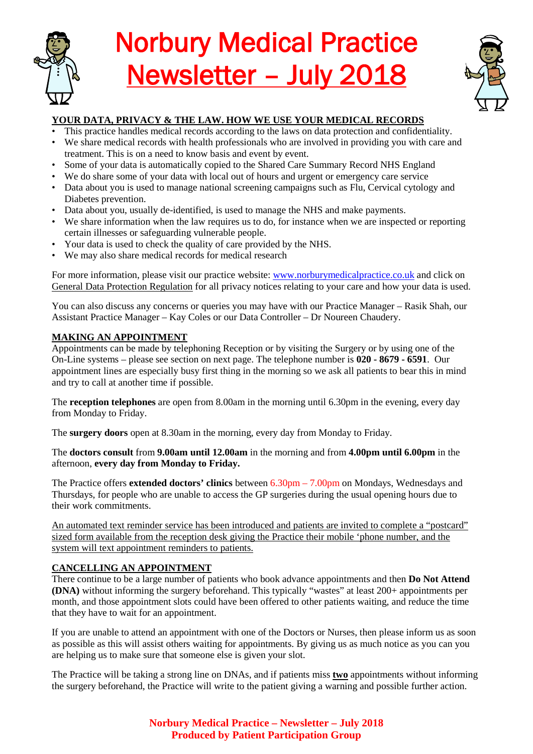

# Norbury Medical Practice Newsletter – July 2018



# **YOUR DATA, PRIVACY & THE LAW. HOW WE USE YOUR MEDICAL RECORDS**

- This practice handles medical records according to the laws on data protection and confidentiality.
- We share medical records with health professionals who are involved in providing you with care and treatment. This is on a need to know basis and event by event.
- Some of your data is automatically copied to the Shared Care Summary Record NHS England
- We do share some of your data with local out of hours and urgent or emergency care service
- Data about you is used to manage national screening campaigns such as Flu, Cervical cytology and Diabetes prevention.
- Data about you, usually de-identified, is used to manage the NHS and make payments.
- We share information when the law requires us to do, for instance when we are inspected or reporting certain illnesses or safeguarding vulnerable people.
- Your data is used to check the quality of care provided by the NHS.
- We may also share medical records for medical research

For more information, please visit our practice website: [www.norburymedicalpractice.co.uk](http://www.norburymedicalpractice.co.uk/) and click on General Data Protection Regulation for all privacy notices relating to your care and how your data is used.

You can also discuss any concerns or queries you may have with our Practice Manager – Rasik Shah, our Assistant Practice Manager – Kay Coles or our Data Controller – Dr Noureen Chaudery.

## **MAKING AN APPOINTMENT**

Appointments can be made by telephoning Reception or by visiting the Surgery or by using one of the On-Line systems – please see section on next page. The telephone number is **020 - 8679 - 6591**. Our appointment lines are especially busy first thing in the morning so we ask all patients to bear this in mind and try to call at another time if possible.

The **reception telephones** are open from 8.00am in the morning until 6.30pm in the evening, every day from Monday to Friday.

The **surgery doors** open at 8.30am in the morning, every day from Monday to Friday.

The **doctors consult** from **9.00am until 12.00am** in the morning and from **4.00pm until 6.00pm** in the afternoon, **every day from Monday to Friday.**

The Practice offers **extended doctors' clinics** between 6.30pm – 7.00pm on Mondays, Wednesdays and Thursdays, for people who are unable to access the GP surgeries during the usual opening hours due to their work commitments.

An automated text reminder service has been introduced and patients are invited to complete a "postcard" sized form available from the reception desk giving the Practice their mobile 'phone number, and the system will text appointment reminders to patients.

# **CANCELLING AN APPOINTMENT**

There continue to be a large number of patients who book advance appointments and then **Do Not Attend (DNA)** without informing the surgery beforehand. This typically "wastes" at least 200+ appointments per month, and those appointment slots could have been offered to other patients waiting, and reduce the time that they have to wait for an appointment.

If you are unable to attend an appointment with one of the Doctors or Nurses, then please inform us as soon as possible as this will assist others waiting for appointments. By giving us as much notice as you can you are helping us to make sure that someone else is given your slot.

The Practice will be taking a strong line on DNAs, and if patients miss **two** appointments without informing the surgery beforehand, the Practice will write to the patient giving a warning and possible further action.

> **Norbury Medical Practice – Newsletter – July 2018 Produced by Patient Participation Group**